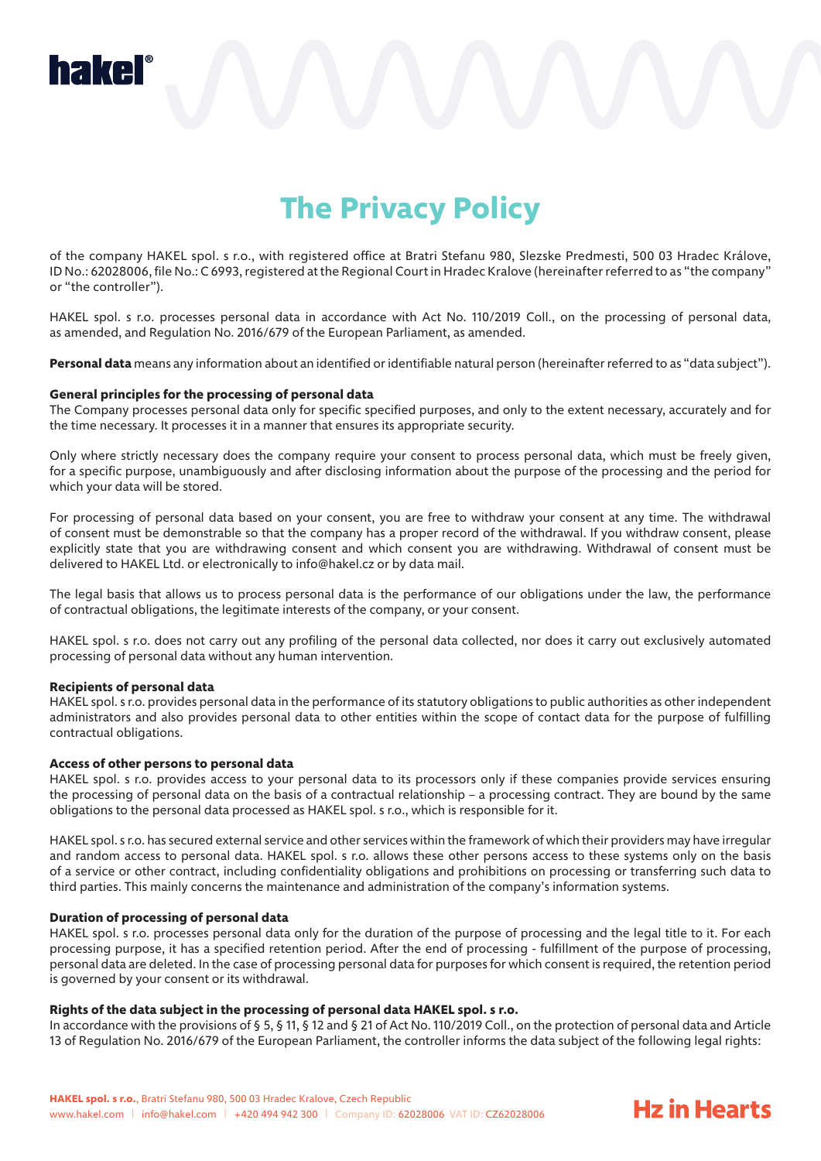

# **The Privacy Policy**

of the company HAKEL spol. s r.o., with registered office at Bratri Stefanu 980, Slezske Predmesti, 500 03 Hradec Králove, ID No.: 62028006, file No.: C 6993, registered at the Regional Court in Hradec Kralove (hereinafter referred to as "the company" or "the controller").

HAKEL spol. s r.o. processes personal data in accordance with Act No. 110/2019 Coll., on the processing of personal data, as amended, and Regulation No. 2016/679 of the European Parliament, as amended.

**Personal data** means any information about an identified or identifiable natural person (hereinafter referred to as "data subject").

#### **General principles for the processing of personal data**

The Company processes personal data only for specific specified purposes, and only to the extent necessary, accurately and for the time necessary. It processes it in a manner that ensures its appropriate security.

Only where strictly necessary does the company require your consent to process personal data, which must be freely given, for a specific purpose, unambiguously and after disclosing information about the purpose of the processing and the period for which your data will be stored.

For processing of personal data based on your consent, you are free to withdraw your consent at any time. The withdrawal of consent must be demonstrable so that the company has a proper record of the withdrawal. If you withdraw consent, please explicitly state that you are withdrawing consent and which consent you are withdrawing. Withdrawal of consent must be delivered to HAKEL Ltd. or electronically to info@hakel.cz or by data mail.

The legal basis that allows us to process personal data is the performance of our obligations under the law, the performance of contractual obligations, the legitimate interests of the company, or your consent.

HAKEL spol. s r.o. does not carry out any profiling of the personal data collected, nor does it carry out exclusively automated processing of personal data without any human intervention.

#### **Recipients of personal data**

HAKEL spol. s r.o. provides personal data in the performance of its statutory obligations to public authorities as other independent administrators and also provides personal data to other entities within the scope of contact data for the purpose of fulfilling contractual obligations.

#### **Access of other persons to personal data**

HAKEL spol. s r.o. provides access to your personal data to its processors only if these companies provide services ensuring the processing of personal data on the basis of a contractual relationship – a processing contract. They are bound by the same obligations to the personal data processed as HAKEL spol. s r.o., which is responsible for it.

HAKEL spol. s r.o. has secured external service and other services within the framework of which their providers may have irregular and random access to personal data. HAKEL spol. s r.o. allows these other persons access to these systems only on the basis of a service or other contract, including confidentiality obligations and prohibitions on processing or transferring such data to third parties. This mainly concerns the maintenance and administration of the company's information systems.

#### **Duration of processing of personal data**

HAKEL spol. s r.o. processes personal data only for the duration of the purpose of processing and the legal title to it. For each processing purpose, it has a specified retention period. After the end of processing - fulfillment of the purpose of processing, personal data are deleted. In the case of processing personal data for purposes for which consent is required, the retention period is governed by your consent or its withdrawal.

#### **Rights of the data subject in the processing of personal data HAKEL spol. s r.o.**

In accordance with the provisions of § 5, § 11, § 12 and § 21 of Act No. 110/2019 Coll., on the protection of personal data and Article 13 of Regulation No. 2016/679 of the European Parliament, the controller informs the data subject of the following legal rights:

**Hz in Hearts**